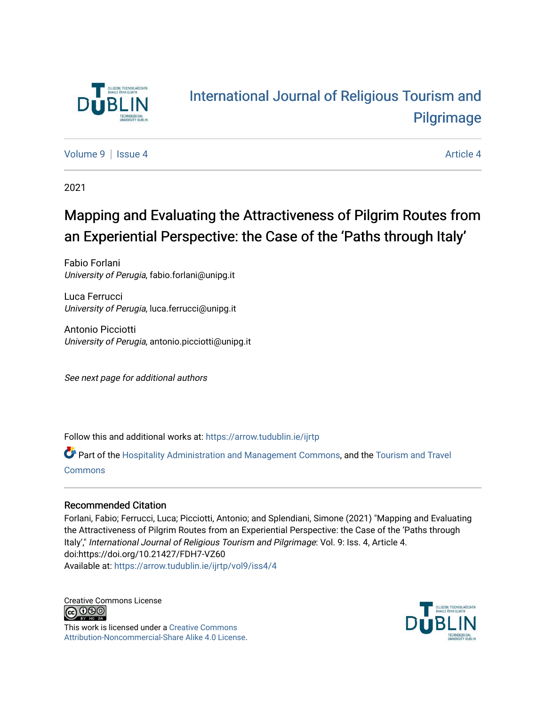

# [International Journal of Religious Tourism and](https://arrow.tudublin.ie/ijrtp)  [Pilgrimage](https://arrow.tudublin.ie/ijrtp)

[Volume 9](https://arrow.tudublin.ie/ijrtp/vol9) | [Issue 4](https://arrow.tudublin.ie/ijrtp/vol9/iss4) Article 4

2021

# Mapping and Evaluating the Attractiveness of Pilgrim Routes from an Experiential Perspective: the Case of the 'Paths through Italy'

Fabio Forlani University of Perugia, fabio.forlani@unipg.it

Luca Ferrucci University of Perugia, luca.ferrucci@unipg.it

Antonio Picciotti University of Perugia, antonio.picciotti@unipg.it

See next page for additional authors

Follow this and additional works at: [https://arrow.tudublin.ie/ijrtp](https://arrow.tudublin.ie/ijrtp?utm_source=arrow.tudublin.ie%2Fijrtp%2Fvol9%2Fiss4%2F4&utm_medium=PDF&utm_campaign=PDFCoverPages)

Part of the [Hospitality Administration and Management Commons,](http://network.bepress.com/hgg/discipline/632?utm_source=arrow.tudublin.ie%2Fijrtp%2Fvol9%2Fiss4%2F4&utm_medium=PDF&utm_campaign=PDFCoverPages) and the [Tourism and Travel](http://network.bepress.com/hgg/discipline/1082?utm_source=arrow.tudublin.ie%2Fijrtp%2Fvol9%2Fiss4%2F4&utm_medium=PDF&utm_campaign=PDFCoverPages) [Commons](http://network.bepress.com/hgg/discipline/1082?utm_source=arrow.tudublin.ie%2Fijrtp%2Fvol9%2Fiss4%2F4&utm_medium=PDF&utm_campaign=PDFCoverPages)

### Recommended Citation

Forlani, Fabio; Ferrucci, Luca; Picciotti, Antonio; and Splendiani, Simone (2021) "Mapping and Evaluating the Attractiveness of Pilgrim Routes from an Experiential Perspective: the Case of the 'Paths through Italy'," International Journal of Religious Tourism and Pilgrimage: Vol. 9: Iss. 4, Article 4. doi:https://doi.org/10.21427/FDH7-VZ60 Available at: [https://arrow.tudublin.ie/ijrtp/vol9/iss4/4](https://arrow.tudublin.ie/ijrtp/vol9/iss4/4?utm_source=arrow.tudublin.ie%2Fijrtp%2Fvol9%2Fiss4%2F4&utm_medium=PDF&utm_campaign=PDFCoverPages)

Creative Commons License <u>@@@</u>

This work is licensed under a [Creative Commons](https://creativecommons.org/licenses/by-nc-sa/4.0/) [Attribution-Noncommercial-Share Alike 4.0 License](https://creativecommons.org/licenses/by-nc-sa/4.0/).

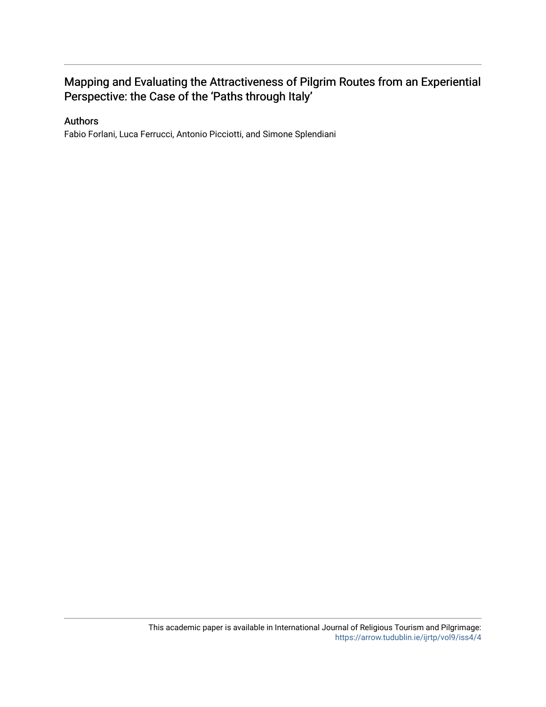## Mapping and Evaluating the Attractiveness of Pilgrim Routes from an Experiential Perspective: the Case of the 'Paths through Italy'

### Authors

Fabio Forlani, Luca Ferrucci, Antonio Picciotti, and Simone Splendiani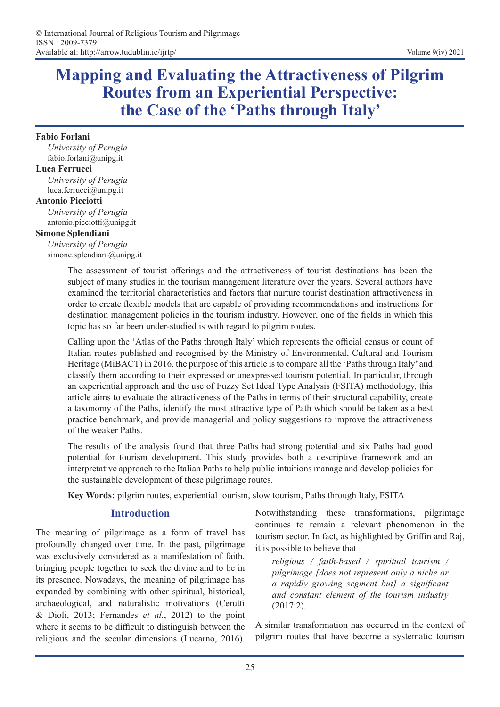# **Mapping and Evaluating the Attractiveness of Pilgrim Routes from an Experiential Perspective: the Case of the 'Paths through Italy'**

#### **Fabio Forlani**

*University of Perugia* fabio.forlani@unipg.it

#### **Luca Ferrucci**

*University of Perugia* luca.ferrucci@unipg.it

#### **Antonio Picciotti**

*University of Perugia* antonio.picciotti@unipg.it

#### **Simone Splendiani**

*University of Perugia* simone.splendiani@unipg.it

> The assessment of tourist offerings and the attractiveness of tourist destinations has been the subject of many studies in the tourism management literature over the years. Several authors have examined the territorial characteristics and factors that nurture tourist destination attractiveness in order to create flexible models that are capable of providing recommendations and instructions for destination management policies in the tourism industry. However, one of the fields in which this topic has so far been under-studied is with regard to pilgrim routes.

> Calling upon the 'Atlas of the Paths through Italy' which represents the official census or count of Italian routes published and recognised by the Ministry of Environmental, Cultural and Tourism Heritage (MiBACT) in 2016, the purpose of this article is to compare all the 'Paths through Italy' and classify them according to their expressed or unexpressed tourism potential. In particular, through an experiential approach and the use of Fuzzy Set Ideal Type Analysis (FSITA) methodology, this article aims to evaluate the attractiveness of the Paths in terms of their structural capability, create a taxonomy of the Paths, identify the most attractive type of Path which should be taken as a best practice benchmark, and provide managerial and policy suggestions to improve the attractiveness of the weaker Paths.

> The results of the analysis found that three Paths had strong potential and six Paths had good potential for tourism development. This study provides both a descriptive framework and an interpretative approach to the Italian Paths to help public intuitions manage and develop policies for the sustainable development of these pilgrimage routes.

**Key Words:** pilgrim routes, experiential tourism, slow tourism, Paths through Italy, FSITA

## **Introduction**

The meaning of pilgrimage as a form of travel has profoundly changed over time. In the past, pilgrimage was exclusively considered as a manifestation of faith, bringing people together to seek the divine and to be in its presence. Nowadays, the meaning of pilgrimage has expanded by combining with other spiritual, historical, archaeological, and naturalistic motivations (Cerutti & Dioli, 2013; Fernandes *et al.*, 2012) to the point where it seems to be difficult to distinguish between the religious and the secular dimensions (Lucarno, 2016). Notwithstanding these transformations, pilgrimage continues to remain a relevant phenomenon in the tourism sector. In fact, as highlighted by Griffin and Raj, it is possible to believe that

*religious / faith-based / spiritual tourism / pilgrimage [does not represent only a niche or a rapidly growing segment but] a significant and constant element of the tourism industry*  (2017:2).

A similar transformation has occurred in the context of pilgrim routes that have become a systematic tourism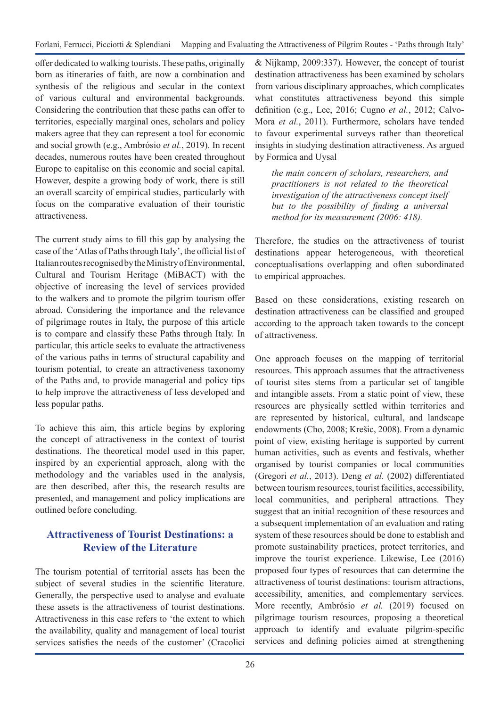Forlani, Ferrucci, Picciotti & Splendiani Mapping and Evaluating the Attractiveness of Pilgrim Routes - 'Paths through Italy'

offer dedicated to walking tourists. These paths, originally born as itineraries of faith, are now a combination and synthesis of the religious and secular in the context of various cultural and environmental backgrounds. Considering the contribution that these paths can offer to territories, especially marginal ones, scholars and policy makers agree that they can represent a tool for economic and social growth (e.g., Ambrósio *et al.*, 2019). In recent decades, numerous routes have been created throughout Europe to capitalise on this economic and social capital. However, despite a growing body of work, there is still an overall scarcity of empirical studies, particularly with focus on the comparative evaluation of their touristic attractiveness.

The current study aims to fill this gap by analysing the case of the 'Atlas of Paths through Italy', the official list of Italian routes recognised by the Ministry of Environmental, Cultural and Tourism Heritage (MiBACT) with the objective of increasing the level of services provided to the walkers and to promote the pilgrim tourism offer abroad. Considering the importance and the relevance of pilgrimage routes in Italy, the purpose of this article is to compare and classify these Paths through Italy. In particular, this article seeks to evaluate the attractiveness of the various paths in terms of structural capability and tourism potential, to create an attractiveness taxonomy of the Paths and, to provide managerial and policy tips to help improve the attractiveness of less developed and less popular paths.

To achieve this aim, this article begins by exploring the concept of attractiveness in the context of tourist destinations. The theoretical model used in this paper, inspired by an experiential approach, along with the methodology and the variables used in the analysis, are then described, after this, the research results are presented, and management and policy implications are outlined before concluding.

## **Attractiveness of Tourist Destinations: a Review of the Literature**

The tourism potential of territorial assets has been the subject of several studies in the scientific literature. Generally, the perspective used to analyse and evaluate these assets is the attractiveness of tourist destinations. Attractiveness in this case refers to 'the extent to which the availability, quality and management of local tourist services satisfies the needs of the customer' (Cracolici

& Nijkamp, 2009:337). However, the concept of tourist destination attractiveness has been examined by scholars from various disciplinary approaches, which complicates what constitutes attractiveness beyond this simple definition (e.g., Lee, 2016; Cugno *et al.*, 2012; Calvo-Mora *et al.*, 2011). Furthermore, scholars have tended to favour experimental surveys rather than theoretical insights in studying destination attractiveness. As argued by Formica and Uysal

*the main concern of scholars, researchers, and practitioners is not related to the theoretical investigation of the attractiveness concept itself but to the possibility of finding a universal method for its measurement (2006: 418).*

Therefore, the studies on the attractiveness of tourist destinations appear heterogeneous, with theoretical conceptualisations overlapping and often subordinated to empirical approaches.

Based on these considerations, existing research on destination attractiveness can be classified and grouped according to the approach taken towards to the concept of attractiveness.

One approach focuses on the mapping of territorial resources. This approach assumes that the attractiveness of tourist sites stems from a particular set of tangible and intangible assets. From a static point of view, these resources are physically settled within territories and are represented by historical, cultural, and landscape endowments (Cho, 2008; Krešic, 2008). From a dynamic point of view, existing heritage is supported by current human activities, such as events and festivals, whether organised by tourist companies or local communities (Gregori *et al.*, 2013). Deng *et al.* (2002) differentiated between tourism resources, tourist facilities, accessibility, local communities, and peripheral attractions. They suggest that an initial recognition of these resources and a subsequent implementation of an evaluation and rating system of these resources should be done to establish and promote sustainability practices, protect territories, and improve the tourist experience. Likewise, Lee (2016) proposed four types of resources that can determine the attractiveness of tourist destinations: tourism attractions, accessibility, amenities, and complementary services. More recently, Ambrósio *et al.* (2019) focused on pilgrimage tourism resources, proposing a theoretical approach to identify and evaluate pilgrim-specific services and defining policies aimed at strengthening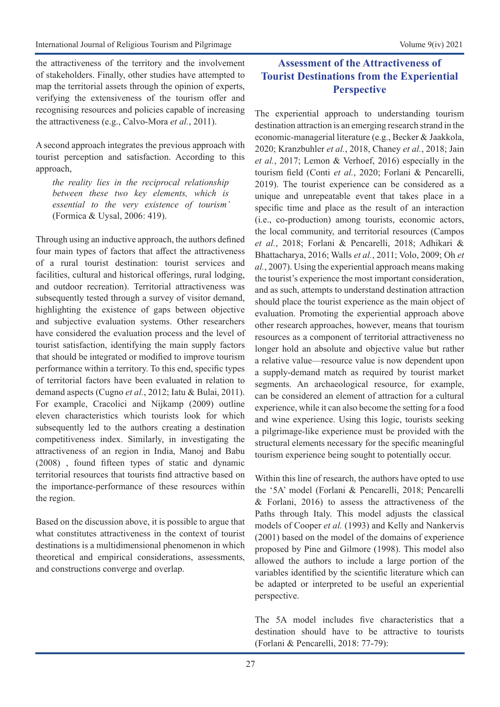the attractiveness of the territory and the involvement of stakeholders. Finally, other studies have attempted to map the territorial assets through the opinion of experts, verifying the extensiveness of the tourism offer and recognising resources and policies capable of increasing the attractiveness (e.g., Calvo-Mora *et al.*, 2011).

A second approach integrates the previous approach with tourist perception and satisfaction. According to this approach,

*the reality lies in the reciprocal relationship between these two key elements, which is essential to the very existence of tourism'*  (Formica & Uysal, 2006: 419).

Through using an inductive approach, the authors defined four main types of factors that affect the attractiveness of a rural tourist destination: tourist services and facilities, cultural and historical offerings, rural lodging, and outdoor recreation). Territorial attractiveness was subsequently tested through a survey of visitor demand, highlighting the existence of gaps between objective and subjective evaluation systems. Other researchers have considered the evaluation process and the level of tourist satisfaction, identifying the main supply factors that should be integrated or modified to improve tourism performance within a territory. To this end, specific types of territorial factors have been evaluated in relation to demand aspects (Cugno *et al.*, 2012; Iatu & Bulai, 2011). For example, Cracolici and Nijkamp (2009) outline eleven characteristics which tourists look for which subsequently led to the authors creating a destination competitiveness index. Similarly, in investigating the attractiveness of an region in India, Manoj and Babu (2008) , found fifteen types of static and dynamic territorial resources that tourists find attractive based on the importance-performance of these resources within the region.

Based on the discussion above, it is possible to argue that what constitutes attractiveness in the context of tourist destinations is a multidimensional phenomenon in which theoretical and empirical considerations, assessments, and constructions converge and overlap.

## **Assessment of the Attractiveness of Tourist Destinations from the Experiential Perspective**

The experiential approach to understanding tourism destination attraction is an emerging research strand in the economic-managerial literature (e.g., Becker & Jaakkola, 2020; Kranzbuhler *et al.*, 2018, Chaney *et al.*, 2018; Jain *et al.*, 2017; Lemon & Verhoef, 2016) especially in the tourism field (Conti *et al.*, 2020; Forlani & Pencarelli, 2019). The tourist experience can be considered as a unique and unrepeatable event that takes place in a specific time and place as the result of an interaction (i.e., co-production) among tourists, economic actors, the local community, and territorial resources (Campos *et al.*, 2018; Forlani & Pencarelli, 2018; Adhikari & Bhattacharya, 2016; Walls *et al.*, 2011; Volo, 2009; Oh *et al.*, 2007). Using the experiential approach means making the tourist's experience the most important consideration, and as such, attempts to understand destination attraction should place the tourist experience as the main object of evaluation. Promoting the experiential approach above other research approaches, however, means that tourism resources as a component of territorial attractiveness no longer hold an absolute and objective value but rather a relative value—resource value is now dependent upon a supply-demand match as required by tourist market segments. An archaeological resource, for example, can be considered an element of attraction for a cultural experience, while it can also become the setting for a food and wine experience. Using this logic, tourists seeking a pilgrimage-like experience must be provided with the structural elements necessary for the specific meaningful tourism experience being sought to potentially occur.

Within this line of research, the authors have opted to use the '5A' model (Forlani & Pencarelli, 2018; Pencarelli & Forlani, 2016) to assess the attractiveness of the Paths through Italy. This model adjusts the classical models of Cooper *et al.* (1993) and Kelly and Nankervis (2001) based on the model of the domains of experience proposed by Pine and Gilmore (1998). This model also allowed the authors to include a large portion of the variables identified by the scientific literature which can be adapted or interpreted to be useful an experiential perspective.

The 5A model includes five characteristics that a destination should have to be attractive to tourists (Forlani & Pencarelli, 2018: 77-79):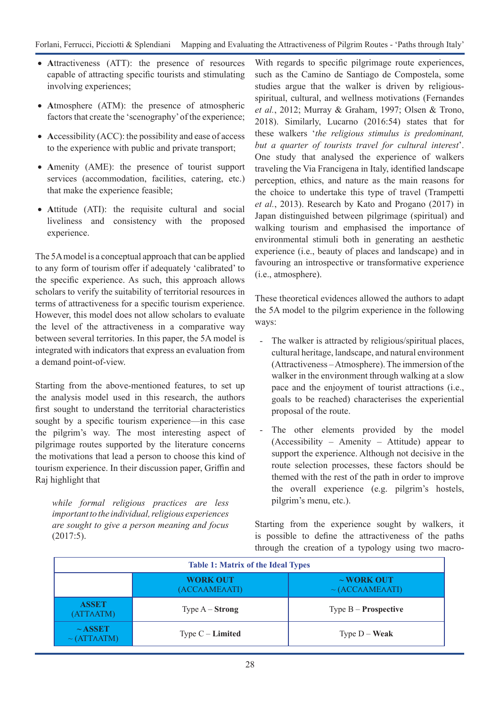- Attractiveness (ATT): the presence of resources capable of attracting specific tourists and stimulating involving experiences;
- • **A**tmosphere (ATM): the presence of atmospheric factors that create the 'scenography' of the experience;
- Accessibility (ACC): the possibility and ease of access to the experience with public and private transport;
- Amenity (AME): the presence of tourist support services (accommodation, facilities, catering, etc.) that make the experience feasible;
- Attitude (ATI): the requisite cultural and social liveliness and consistency with the proposed experience.

The 5A model is a conceptual approach that can be applied to any form of tourism offer if adequately 'calibrated' to the specific experience. As such, this approach allows scholars to verify the suitability of territorial resources in terms of attractiveness for a specific tourism experience. However, this model does not allow scholars to evaluate the level of the attractiveness in a comparative way between several territories. In this paper, the 5A model is integrated with indicators that express an evaluation from a demand point-of-view.

Starting from the above-mentioned features, to set up the analysis model used in this research, the authors first sought to understand the territorial characteristics sought by a specific tourism experience—in this case the pilgrim's way. The most interesting aspect of pilgrimage routes supported by the literature concerns the motivations that lead a person to choose this kind of tourism experience. In their discussion paper, Griffin and Raj highlight that

*while formal religious practices are less important to the individual, religious experiences are sought to give a person meaning and focus*  (2017:5).

With regards to specific pilgrimage route experiences, such as the Camino de Santiago de Compostela, some studies argue that the walker is driven by religiousspiritual, cultural, and wellness motivations (Fernandes *et al.*, 2012; Murray & Graham, 1997; Olsen & Trono, 2018). Similarly, Lucarno (2016:54) states that for these walkers '*the religious stimulus is predominant, but a quarter of tourists travel for cultural interest*'. One study that analysed the experience of walkers traveling the Via Francigena in Italy, identified landscape perception, ethics, and nature as the main reasons for the choice to undertake this type of travel (Trampetti *et al.*, 2013). Research by Kato and Progano (2017) in Japan distinguished between pilgrimage (spiritual) and walking tourism and emphasised the importance of environmental stimuli both in generating an aesthetic experience (i.e., beauty of places and landscape) and in favouring an introspective or transformative experience (i.e., atmosphere).

These theoretical evidences allowed the authors to adapt the 5A model to the pilgrim experience in the following ways:

- The walker is attracted by religious/spiritual places, cultural heritage, landscape, and natural environment (Attractiveness – Atmosphere). The immersion of the walker in the environment through walking at a slow pace and the enjoyment of tourist attractions (i.e., goals to be reached) characterises the experiential proposal of the route.
- The other elements provided by the model (Accessibility – Amenity – Attitude) appear to support the experience. Although not decisive in the route selection processes, these factors should be themed with the rest of the path in order to improve the overall experience (e.g. pilgrim's hostels, pilgrim's menu, etc.).

Starting from the experience sought by walkers, it is possible to define the attractiveness of the paths through the creation of a typology using two macro-

| <b>Table 1: Matrix of the Ideal Types</b> |                                                                             |                               |  |  |  |
|-------------------------------------------|-----------------------------------------------------------------------------|-------------------------------|--|--|--|
|                                           | <b>WORK OUT</b><br>$\sim$ WORK OUT<br>(ACCAAMEAATI)<br>$\sim$ (ACCAAMEAATI) |                               |  |  |  |
| <b>ASSET</b><br>(ATTAATM)                 | Type $A -$ <b>Strong</b>                                                    | Type $B -$ <b>Prospective</b> |  |  |  |
| $~\sim$ ASSET<br><b>ATTAATM)</b>          | Type $C$ – <b>Limited</b>                                                   | Type $D - Weak$               |  |  |  |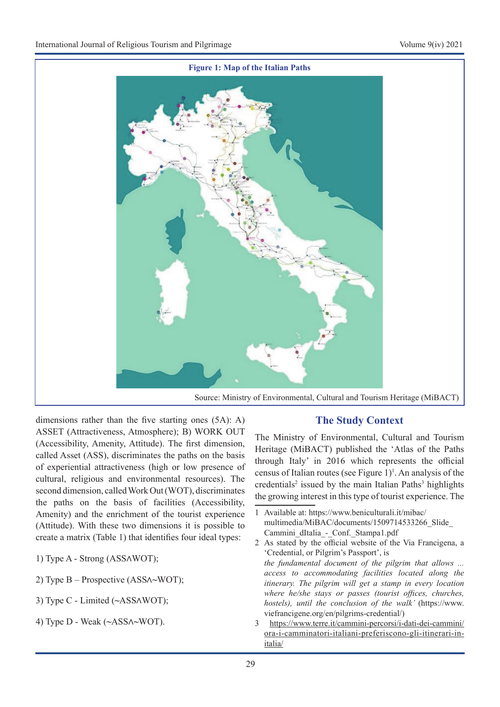

dimensions rather than the five starting ones (5A): A) ASSET (Attractiveness, Atmosphere); B) WORK OUT (Accessibility, Amenity, Attitude). The first dimension, called Asset (ASS), discriminates the paths on the basis of experiential attractiveness (high or low presence of cultural, religious and environmental resources). The second dimension, called Work Out (WOT), discriminates the paths on the basis of facilities (Accessibility, Amenity) and the enrichment of the tourist experience (Attitude). With these two dimensions it is possible to create a matrix (Table 1) that identifies four ideal types:

- 1) Type A Strong (ASS∧WOT);
- 2) Type B Prospective (ASS∧**~**WOT);
- 3) Type C Limited (**~**ASS∧WOT);
- 4) Type D Weak (**~**ASS∧**~**WOT).

## **The Study Context**

The Ministry of Environmental, Cultural and Tourism Heritage (MiBACT) published the 'Atlas of the Paths through Italy' in 2016 which represents the official census of Italian routes (see Figure  $1$ )<sup>1</sup>. An analysis of the credentials<sup>2</sup> issued by the main Italian Paths<sup>3</sup> highlights the growing interest in this type of tourist experience. The

3 https://www.terre.it/cammini-percorsi/i-dati-dei-cammini/ ora-i-camminatori-italiani-preferiscono-gli-itinerari-initalia/

<sup>1</sup> Available at: https://www.beniculturali.it/mibac/ multimedia/MiBAC/documents/1509714533266\_Slide\_ Cammini\_dItalia\_-\_Conf.\_Stampa1.pdf

<sup>2</sup> As stated by the official website of the Via Francigena, a 'Credential, or Pilgrim's Passport', is *the fundamental document of the pilgrim that allows ... access to accommodating facilities located along the itinerary. The pilgrim will get a stamp in every location where he/she stays or passes (tourist offices, churches, hostels), until the conclusion of the walk'* (https://www. viefrancigene.org/en/pilgrims-credential/)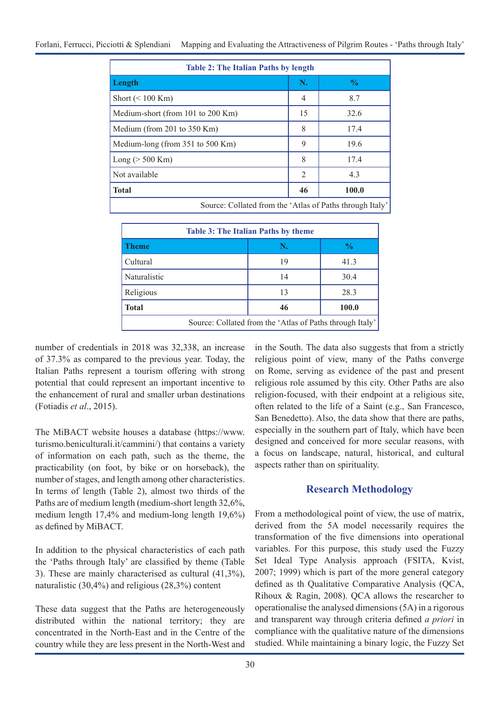| <b>Table 2: The Italian Paths by length</b>              |                |               |  |  |  |
|----------------------------------------------------------|----------------|---------------|--|--|--|
| Length                                                   | N.             | $\frac{0}{0}$ |  |  |  |
| Short $(< 100$ Km)                                       | $\overline{4}$ | 8.7           |  |  |  |
| Medium-short (from 101 to 200 Km)                        | 15             | 32.6          |  |  |  |
| Medium (from 201 to 350 Km)                              | 8              | 17.4          |  |  |  |
| Medium-long (from 351 to 500 Km)                         | 9              | 19.6          |  |  |  |
| $Long (> 500$ Km $)$                                     | 8              | 17.4          |  |  |  |
| Not available                                            | 2              | 4.3           |  |  |  |
| <b>Total</b>                                             | 46             | 100.0         |  |  |  |
| Source: Collated from the 'Atlas of Paths through Italy' |                |               |  |  |  |

| <b>Table 3: The Italian Paths by theme</b>               |    |               |  |  |  |  |
|----------------------------------------------------------|----|---------------|--|--|--|--|
| <b>Theme</b>                                             | N. | $\frac{0}{0}$ |  |  |  |  |
| Cultural                                                 | 19 | 41.3          |  |  |  |  |
| Naturalistic                                             | 14 | 30.4          |  |  |  |  |
| Religious                                                | 13 | 28.3          |  |  |  |  |
| <b>Total</b>                                             | 46 | 100.0         |  |  |  |  |
| Source: Collated from the 'Atlas of Paths through Italy' |    |               |  |  |  |  |

number of credentials in 2018 was 32,338, an increase of 37.3% as compared to the previous year. Today, the Italian Paths represent a tourism offering with strong potential that could represent an important incentive to the enhancement of rural and smaller urban destinations (Fotiadis *et al*., 2015).

The MiBACT website houses a database (https://www. turismo.beniculturali.it/cammini/) that contains a variety of information on each path, such as the theme, the practicability (on foot, by bike or on horseback), the number of stages, and length among other characteristics. In terms of length (Table 2), almost two thirds of the Paths are of medium length (medium-short length 32,6%, medium length 17,4% and medium-long length 19,6%) as defined by MiBACT.

In addition to the physical characteristics of each path the 'Paths through Italy' are classified by theme (Table 3). These are mainly characterised as cultural (41,3%), naturalistic (30,4%) and religious (28,3%) content

These data suggest that the Paths are heterogeneously distributed within the national territory; they are concentrated in the North-East and in the Centre of the country while they are less present in the North-West and in the South. The data also suggests that from a strictly religious point of view, many of the Paths converge on Rome, serving as evidence of the past and present religious role assumed by this city. Other Paths are also religion-focused, with their endpoint at a religious site, often related to the life of a Saint (e.g., San Francesco, San Benedetto). Also, the data show that there are paths, especially in the southern part of Italy, which have been designed and conceived for more secular reasons, with a focus on landscape, natural, historical, and cultural aspects rather than on spirituality.

## **Research Methodology**

From a methodological point of view, the use of matrix, derived from the 5A model necessarily requires the transformation of the five dimensions into operational variables. For this purpose, this study used the Fuzzy Set Ideal Type Analysis approach (FSITA, Kvist, 2007; 1999) which is part of the more general category defined as th Qualitative Comparative Analysis (QCA, Rihoux & Ragin, 2008). QCA allows the researcher to operationalise the analysed dimensions (5A) in a rigorous and transparent way through criteria defined *a priori* in compliance with the qualitative nature of the dimensions studied. While maintaining a binary logic, the Fuzzy Set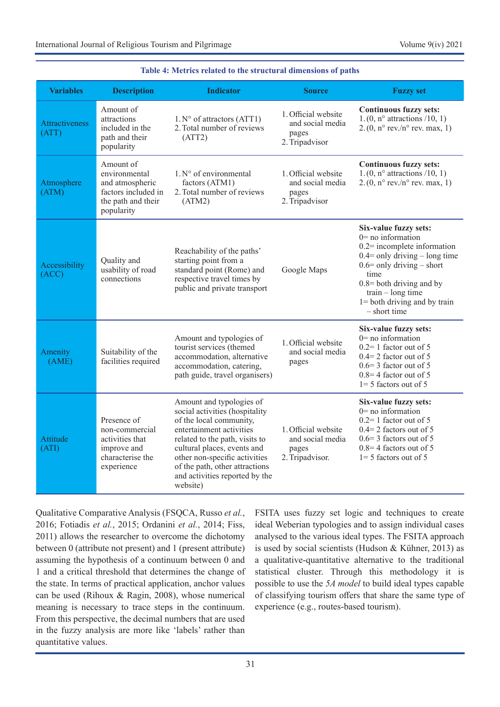| <b>Variables</b>               | <b>Description</b><br><b>Indicator</b>                                                                   |                                                                                                                                                                                                                                                                                                     | <b>Source</b>                                                       | <b>Fuzzy set</b>                                                                                                                                                                                                                                                    |  |  |
|--------------------------------|----------------------------------------------------------------------------------------------------------|-----------------------------------------------------------------------------------------------------------------------------------------------------------------------------------------------------------------------------------------------------------------------------------------------------|---------------------------------------------------------------------|---------------------------------------------------------------------------------------------------------------------------------------------------------------------------------------------------------------------------------------------------------------------|--|--|
| <b>Attractiveness</b><br>(ATT) | Amount of<br>attractions<br>included in the<br>path and their<br>popularity                              | $1.N°$ of attractors (ATT1)<br>2. Total number of reviews<br>(ATT2)                                                                                                                                                                                                                                 | 1. Official website<br>and social media<br>pages<br>2. Tripadvisor  | Continuous fuzzy sets:<br>$1.(0, n^{\circ}$ attractions /10, 1)<br>2. $(0, n^{\circ}$ rev./n° rev. max, 1)                                                                                                                                                          |  |  |
| Atmosphere<br>(ATM)            | Amount of<br>environmental<br>and atmospheric<br>factors included in<br>the path and their<br>popularity | $1. N^{\circ}$ of environmental<br>factors (ATM1)<br>2. Total number of reviews<br>(ATM2)                                                                                                                                                                                                           | 1. Official website<br>and social media<br>pages<br>2. Tripadvisor  | <b>Continuous fuzzy sets:</b><br>$1.(0, n^{\circ}$ attractions /10, 1)<br>$2.(0, n^{\circ}$ rev./n° rev. max, 1)                                                                                                                                                    |  |  |
| Accessibility<br>(ACC)         | Quality and<br>usability of road<br>connections                                                          | Reachability of the paths'<br>starting point from a<br>standard point (Rome) and<br>respective travel times by<br>public and private transport                                                                                                                                                      | Google Maps                                                         | Six-value fuzzy sets:<br>$0=$ no information<br>$0.2$ = incomplete information<br>$0.4$ = only driving – long time<br>$0.6$ = only driving – short<br>time<br>$0.8$ = both driving and by<br>$train - long time$<br>$1 =$ both driving and by train<br>- short time |  |  |
| Amenity<br>(AME)               | Suitability of the<br>facilities required                                                                | Amount and typologies of<br>tourist services (themed<br>accommodation, alternative<br>accommodation, catering,<br>path guide, travel organisers)                                                                                                                                                    | 1. Official website<br>and social media<br>pages                    | Six-value fuzzy sets:<br>$0=$ no information<br>$0.2=1$ factor out of 5<br>$0.4 = 2$ factor out of 5<br>$0.6 = 3$ factor out of 5<br>$0.8 = 4$ factor out of 5<br>$1=5$ factors out of 5                                                                            |  |  |
| Attitude<br>(ATI)              | Presence of<br>non-commercial<br>activities that<br>improve and<br>characterise the<br>experience        | Amount and typologies of<br>social activities (hospitality<br>of the local community,<br>entertainment activities<br>related to the path, visits to<br>cultural places, events and<br>other non-specific activities<br>of the path, other attractions<br>and activities reported by the<br>website) | 1. Official website<br>and social media<br>pages<br>2. Tripadvisor. | Six-value fuzzy sets:<br>$0=$ no information<br>$0.2=1$ factor out of 5<br>$0.4 = 2$ factors out of 5<br>$0.6 = 3$ factors out of 5<br>$0.8 = 4$ factors out of 5<br>$1=5$ factors out of 5                                                                         |  |  |

### **Table 4: Metrics related to the structural dimensions of paths**

Qualitative Comparative Analysis (FSQCA, Russo *et al.*, 2016; Fotiadis *et al.*, 2015; Ordanini *et al.*, 2014; Fiss, 2011) allows the researcher to overcome the dichotomy between 0 (attribute not present) and 1 (present attribute) assuming the hypothesis of a continuum between 0 and 1 and a critical threshold that determines the change of the state. In terms of practical application, anchor values can be used (Rihoux & Ragin, 2008), whose numerical meaning is necessary to trace steps in the continuum. From this perspective, the decimal numbers that are used in the fuzzy analysis are more like 'labels' rather than quantitative values.

FSITA uses fuzzy set logic and techniques to create ideal Weberian typologies and to assign individual cases analysed to the various ideal types. The FSITA approach is used by social scientists (Hudson & Kühner, 2013) as a qualitative-quantitative alternative to the traditional statistical cluster. Through this methodology it is possible to use the *5A model* to build ideal types capable of classifying tourism offers that share the same type of experience (e.g., routes-based tourism).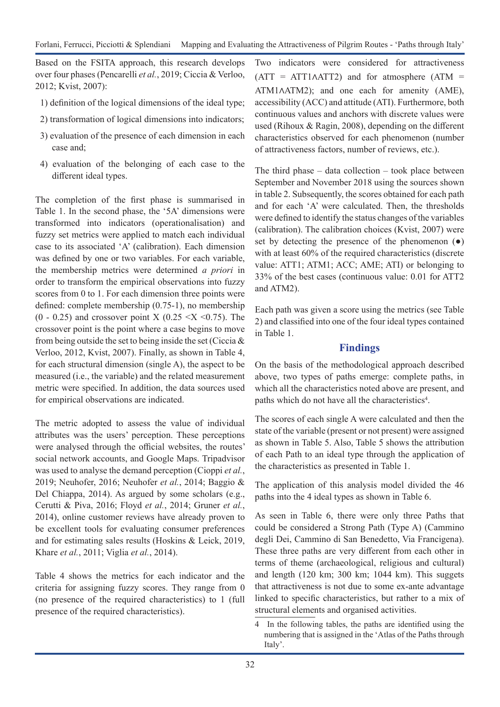Based on the FSITA approach, this research develops over four phases (Pencarelli *et al.*, 2019; Ciccia & Verloo, 2012; Kvist, 2007):

- 1) definition of the logical dimensions of the ideal type;
- 2) transformation of logical dimensions into indicators;
- 3) evaluation of the presence of each dimension in each case and;
- 4) evaluation of the belonging of each case to the different ideal types.

The completion of the first phase is summarised in Table 1. In the second phase, the '5A' dimensions were transformed into indicators (operationalisation) and fuzzy set metrics were applied to match each individual case to its associated 'A' (calibration). Each dimension was defined by one or two variables. For each variable, the membership metrics were determined *a priori* in order to transform the empirical observations into fuzzy scores from 0 to 1. For each dimension three points were defined: complete membership (0.75-1), no membership  $(0 - 0.25)$  and crossover point X  $(0.25 \le X \le 0.75)$ . The crossover point is the point where a case begins to move from being outside the set to being inside the set (Ciccia & Verloo, 2012, Kvist, 2007). Finally, as shown in Table 4, for each structural dimension (single A), the aspect to be measured (i.e., the variable) and the related measurement metric were specified. In addition, the data sources used for empirical observations are indicated.

The metric adopted to assess the value of individual attributes was the users' perception. These perceptions were analysed through the official websites, the routes' social network accounts, and Google Maps. Tripadvisor was used to analyse the demand perception (Cioppi *et al.*, 2019; Neuhofer, 2016; Neuhofer *et al.*, 2014; Baggio & Del Chiappa, 2014). As argued by some scholars (e.g., Cerutti & Piva, 2016; Floyd *et al.*, 2014; Gruner *et al.*, 2014), online customer reviews have already proven to be excellent tools for evaluating consumer preferences and for estimating sales results (Hoskins & Leick, 2019, Khare *et al.*, 2011; Viglia *et al.*, 2014).

Table 4 shows the metrics for each indicator and the criteria for assigning fuzzy scores. They range from 0 (no presence of the required characteristics) to 1 (full presence of the required characteristics).

Two indicators were considered for attractiveness  $(ATT = ATT1AATT2)$  and for atmosphere  $(ATM =$ ATM1∧ATM2); and one each for amenity (AME), accessibility (ACC) and attitude (ATI). Furthermore, both continuous values and anchors with discrete values were used (Rihoux & Ragin, 2008), depending on the different characteristics observed for each phenomenon (number of attractiveness factors, number of reviews, etc.).

The third phase  $-$  data collection  $-$  took place between September and November 2018 using the sources shown in table 2. Subsequently, the scores obtained for each path and for each 'A' were calculated. Then, the thresholds were defined to identify the status changes of the variables (calibration). The calibration choices (Kvist, 2007) were set by detecting the presence of the phenomenon  $(•)$ with at least 60% of the required characteristics (discrete value: ATT1; ATM1; ACC; AME; ATI) or belonging to 33% of the best cases (continuous value: 0.01 for ATT2 and ATM2).

Each path was given a score using the metrics (see Table 2) and classified into one of the four ideal types contained in Table 1.

## **Findings**

On the basis of the methodological approach described above, two types of paths emerge: complete paths, in which all the characteristics noted above are present, and paths which do not have all the characteristics<sup>4</sup>.

The scores of each single A were calculated and then the state of the variable (present or not present) were assigned as shown in Table 5. Also, Table 5 shows the attribution of each Path to an ideal type through the application of the characteristics as presented in Table 1.

The application of this analysis model divided the 46 paths into the 4 ideal types as shown in Table 6.

As seen in Table 6, there were only three Paths that could be considered a Strong Path (Type A) (Cammino degli Dei, Cammino di San Benedetto, Via Francigena). These three paths are very different from each other in terms of theme (archaeological, religious and cultural) and length (120 km; 300 km; 1044 km). This suggets that attractiveness is not due to some ex-ante advantage linked to specific characteristics, but rather to a mix of structural elements and organised activities.

4 In the following tables, the paths are identified using the numbering that is assigned in the 'Atlas of the Paths through Italy'.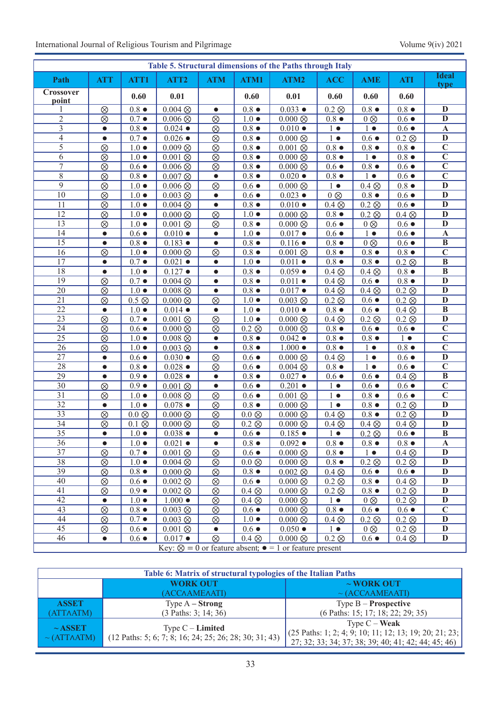| Table 5. Structural dimensions of the Paths through Italy |                                                                        |               |                              |            |               |                              |                 |                            |               |                         |
|-----------------------------------------------------------|------------------------------------------------------------------------|---------------|------------------------------|------------|---------------|------------------------------|-----------------|----------------------------|---------------|-------------------------|
| Path                                                      | <b>ATT</b>                                                             | ATT1          | ATT <sub>2</sub>             | <b>ATM</b> | ATM1          | ATM2                         | <b>ACC</b>      | <b>AME</b>                 | <b>ATI</b>    | <b>Ideal</b><br>type    |
| Crossover<br>point                                        |                                                                        | 0.60          | 0.01                         |            | 0.60          | 0.01                         | 0.60            | 0.60                       | 0.60          |                         |
| 1                                                         | $\otimes$                                                              | $0.8\bullet$  | $0.004 \otimes$              | $\bullet$  | $0.8\bullet$  | $0.033 \bullet$              | $0.2 \otimes$   | $0.8\bullet$               | $0.8\bullet$  | $\mathbf{D}$            |
| $\overline{2}$                                            | $\otimes$                                                              | $0.7\bullet$  | $\overline{0.006}$ $\otimes$ | $\otimes$  | $1.0 \bullet$ | $0.000\otimes$               | $0.8\bullet$    | $0 \otimes$                | $0.6\bullet$  | $\overline{\mathbf{D}}$ |
| 3                                                         | $\bullet$                                                              | $0.8\bullet$  | $0.024 \bullet$              | $\otimes$  | $0.8\bullet$  | $0.010 \bullet$              | $1 \bullet$     | $1 \bullet$                | $0.6\bullet$  | $\mathbf{A}$            |
| $\overline{4}$                                            | $\bullet$                                                              | $0.7\bullet$  | $0.026$ $\bullet$            | $\otimes$  | $0.8\bullet$  | $0.000\otimes$               | $1 \bullet$     | $0.6\bullet$               | $0.2 \otimes$ | $\mathbf{D}$            |
| 5                                                         | $\otimes$                                                              | $1.0 \bullet$ | $0.009\otimes$               | $\otimes$  | $0.8\bullet$  | $0.001 \otimes$              | $0.8\bullet$    | $0.8\bullet$               | $0.8\bullet$  | $\overline{\mathbf{C}}$ |
| 6                                                         | $\otimes$                                                              | $1.0 \bullet$ | $0.001 \otimes$              | $\otimes$  | $0.8\bullet$  | $0.000\otimes$               | $0.8\bullet$    | $1 \bullet$                | $0.8\bullet$  | $\overline{\mathbf{C}}$ |
| $\overline{7}$                                            | $\otimes$                                                              | $0.6\bullet$  | $0.006 \otimes$              | $\otimes$  | $0.8\bullet$  | $0.000\otimes$               | $0.6\bullet$    | $0.8\bullet$               | $0.6\bullet$  | $\overline{\mathbf{C}}$ |
| $8\,$                                                     | $\otimes$                                                              | $0.8\bullet$  | $0.007\otimes$               | $\bullet$  | $0.8 \bullet$ | $0.020 \bullet$              | $0.8\bullet$    | $1 \bullet$                | $0.6\bullet$  | $\overline{\mathbf{C}}$ |
| $\overline{9}$                                            | $\otimes$                                                              | $1.0 \bullet$ | $\overline{0.006}$ $\otimes$ | $\otimes$  | $0.6\bullet$  | $0.000\otimes$               | $1 \bullet$     | $0.4 \otimes$              | $0.8\bullet$  | $\overline{\mathbf{D}}$ |
| 10                                                        | $\otimes$                                                              | $1.0 \bullet$ | $0.003 \otimes$              | $\bullet$  | $0.6\bullet$  | $0.023 \bullet$              | $0 \otimes$     | $0.8\bullet$               | $0.6\bullet$  | $\overline{\mathbf{D}}$ |
| 11                                                        | $\otimes$                                                              | $1.0 \bullet$ | $0.004 \otimes$              | $\bullet$  | $0.8\bullet$  | $0.010 \bullet$              | $0.4 \otimes$   | $\overline{0.2}$ $\otimes$ | $0.6\bullet$  | $\mathbf{D}$            |
| 12                                                        | $\otimes$                                                              | $1.0 \bullet$ | $0.000\otimes$               | $\otimes$  | $1.0 \bullet$ | $0.000\otimes$               | $0.8\bullet$    | $0.2 \otimes$              | $0.4 \otimes$ | $\mathbf{D}$            |
| $\overline{13}$                                           | $\otimes$                                                              | $1.0 \bullet$ | $0.001\otimes$               | $\otimes$  | $0.8\bullet$  | $0.000\otimes$               | $0.6\bullet$    | $0 \otimes$                | $0.6 \bullet$ | $\overline{\mathbf{D}}$ |
| 14                                                        | $\bullet$                                                              | $0.6\bullet$  | $0.010 \bullet$              | $\bullet$  | $1.0 \bullet$ | $0.017 \bullet$              | $0.6\bullet$    | $1 \bullet$                | $0.6\bullet$  | $\overline{\mathbf{A}}$ |
| $\overline{15}$                                           | $\bullet$                                                              | $0.8\bullet$  | $0.183 \bullet$              | $\bullet$  | $0.8\bullet$  | $0.116 \bullet$              | $0.8\bullet$    | $0 \otimes$                | $0.6\bullet$  | $\overline{B}$          |
| $\overline{16}$                                           | $\otimes$                                                              | $1.0 \bullet$ | $0.000\otimes$               | $\otimes$  | $0.8\bullet$  | $0.001\otimes$               | $0.8\bullet$    | $0.8\bullet$               | $0.8 \bullet$ | $\overline{\mathbf{C}}$ |
| $\overline{17}$                                           | $\bullet$                                                              | $0.7\bullet$  | $0.021$ $\bullet$            | $\bullet$  | $1.0 \bullet$ | $0.011 \bullet$              | $0.8\bullet$    | $0.8\bullet$               | $0.2 \otimes$ | $\overline{B}$          |
| 18                                                        | $\bullet$                                                              | $1.0\bullet$  | $0.127$ $\bullet$            | $\bullet$  | $0.8\bullet$  | $0.059 \bullet$              | $0.4 \otimes$   | $0.4 \otimes$              | $0.8\bullet$  | $\overline{B}$          |
| 19                                                        | $\otimes$                                                              | $0.7\bullet$  | $\overline{0.004}$ $\otimes$ | $\bullet$  | $0.8\bullet$  | $0.011 \bullet$              | $0.4 \otimes$   | $0.6\bullet$               | $0.8\bullet$  | $\mathbf{D}$            |
| 20                                                        | $\otimes$                                                              | $1.0 \bullet$ | $0.008 \otimes$              | $\bullet$  | $0.8\bullet$  | $0.017 \bullet$              | $0.4 \otimes$   | $0.4 \otimes$              | $0.2 \otimes$ | $\overline{\mathbf{D}}$ |
| 21                                                        | $\otimes$                                                              | $0.5 \otimes$ | $0.000 \otimes$              | $\otimes$  | $1.0 \bullet$ | $0.003 \otimes$              | $0.2 \otimes$   | $0.6\bullet$               | $0.2 \otimes$ | $\overline{\mathbf{D}}$ |
| $\overline{22}$                                           | $\bullet$                                                              | $1.0\bullet$  | $0.014 \bullet$              | $\bullet$  | $1.0 \bullet$ | $0.010 \bullet$              | $0.8\bullet$    | $0.6\bullet$               | $0.4 \otimes$ | $\overline{B}$          |
| $\overline{23}$                                           | $\otimes$                                                              | $0.7\bullet$  | $\overline{0.001}$ $\otimes$ | $\otimes$  | $1.0 \bullet$ | $0.000\otimes$               | $0.4 \otimes$   | $0.2 \otimes$              | $0.2 \otimes$ | $\overline{\mathbf{D}}$ |
| $\overline{24}$                                           | $\otimes$                                                              | $0.6\bullet$  | $0.000\otimes$               | $\otimes$  | $0.2 \otimes$ | $0.000 \otimes$              | $0.8\bullet$    | $0.6\bullet$               | $0.6\bullet$  | $\overline{\mathbf{C}}$ |
| $\overline{25}$                                           | $\otimes$                                                              | $1.0 \bullet$ | $0.008 \otimes$              | $\bullet$  | $0.8\bullet$  | $0.042 \bullet$              | $0.8$ $\bullet$ | $0.8\bullet$               | $1 \bullet$   | $\overline{\mathbf{C}}$ |
| 26                                                        | $\otimes$                                                              | $1.0 \bullet$ | $0.003 \otimes$              | $\bullet$  | $0.8\bullet$  | $1.000 \bullet$              | $0.8\bullet$    | $1 \bullet$                | $0.8\bullet$  | $\overline{\mathbf{C}}$ |
| $\overline{27}$                                           | $\bullet$                                                              | $0.6\bullet$  | $0.030 \bullet$              | $\otimes$  | $0.6\bullet$  | $0.000\otimes$               | $0.4 \otimes$   | $1 \bullet$                | $0.6\bullet$  | $\overline{\mathbf{D}}$ |
| 28                                                        | $\bullet$                                                              | $0.8\bullet$  | $0.028 \bullet$              | $\otimes$  | $0.6\bullet$  | $0.004 \otimes$              | $0.8\bullet$    | $1 \bullet$                | $0.6\bullet$  | $\overline{\mathbf{C}}$ |
| 29                                                        | $\bullet$                                                              | $0.9\bullet$  | $0.028 \bullet$              | $\bullet$  | $0.8\bullet$  | $0.027 \bullet$              | $0.6\bullet$    | $0.6\bullet$               | $0.4 \otimes$ | $\overline{B}$          |
| 30                                                        | $\otimes$                                                              | $0.9\bullet$  | $0.001 \otimes$              | $\bullet$  | $0.6\bullet$  | $0.201 \bullet$              | $1 \bullet$     | $0.6\bullet$               | $0.6\bullet$  | $\overline{\mathbf{C}}$ |
| $\overline{31}$                                           | $\otimes$                                                              | $1.0\bullet$  | $0.008 \otimes$              | $\otimes$  | $0.6\bullet$  | $0.001\otimes$               | $1 \bullet$     | $0.8\bullet$               | $0.6\bullet$  | $\overline{\mathbf{C}}$ |
| $\overline{32}$                                           | $\bullet$                                                              | $1.0 \bullet$ | $0.078 \bullet$              | $\otimes$  | $0.8\bullet$  | $0.000\otimes$               | $1 \bullet$     | $0.8\bullet$               | $0.2 \otimes$ | $\overline{\mathbf{D}}$ |
| $\overline{33}$                                           | $\otimes$                                                              | $0.0\otimes$  | $0.000 \otimes$              | $\otimes$  | $0.0\otimes$  | $0.000\otimes$               | $0.4 \otimes$   | $0.8\bullet$               | $0.2 \otimes$ | $\mathbf{D}$            |
| $\overline{34}$                                           | $\otimes$                                                              | $0.1 \otimes$ | $0.000\otimes$               | $\otimes$  | $0.2 \otimes$ | $0.000\otimes$               | $0.4 \otimes$   | $0.4 \otimes$              | $0.4 \otimes$ | $\overline{\mathbf{D}}$ |
| $\overline{35}$                                           |                                                                        | $1.0 \bullet$ | $0.038 \bullet$              | $\bullet$  | $0.6 \bullet$ | $0.185 \bullet$              | $1 \bullet$     | $0.2\otimes$               | $0.6 \bullet$ | $\overline{B}$          |
| 36                                                        | $\bullet$                                                              | $1.0\bullet$  | $0.021$ $\bullet$            | $\bullet$  | $0.8 \bullet$ | $0.092 \bullet$              | $0.8 \bullet$   | $0.8 \bullet$              | $0.8 \bullet$ | $\mathbf{A}$            |
| 37                                                        | $\otimes$                                                              | $0.7\bullet$  | $0.001 \otimes$              | $\otimes$  | $0.6 \bullet$ | $0.000\otimes$               | $0.8 \bullet$   | $1 \bullet$                | $0.4 \otimes$ | $\mathbf{D}$            |
| 38                                                        | $\otimes$                                                              | $1.0 \bullet$ | $0.004 \otimes$              | $\otimes$  | $0.0\otimes$  | $0.000\otimes$               | $0.8\bullet$    | $0.2 \otimes$              | $0.2 \otimes$ | $\mathbf{D}$            |
| 39                                                        | $\otimes$                                                              | $0.8\bullet$  | $0.000 \otimes$              | $\otimes$  | $0.8 \bullet$ | $0.002 \otimes$              | $0.4 \otimes$   | $0.6\bullet$               | $0.6\bullet$  | $\mathbf{D}$            |
| 40                                                        | $\otimes$                                                              | $0.6 \bullet$ | $0.002 \otimes$              | $\otimes$  | $0.6 \bullet$ | $0.000\otimes$               | $0.2 \otimes$   | $0.8\bullet$               | $0.4 \otimes$ | $\mathbf D$             |
| 41                                                        | $\otimes$                                                              | $0.9\bullet$  | $0.002 \otimes$              | $\otimes$  | $0.4 \otimes$ | $0.000\otimes$               | $0.2 \otimes$   | $0.8 \bullet$              | $0.2 \otimes$ | $\mathbf{D}$            |
| 42                                                        | $\bullet$                                                              | $1.0 \bullet$ | $1.000 \bullet$              | $\otimes$  | $0.4 \otimes$ | $0.000\otimes$               | $1 \bullet$     | $0 \otimes$                | $0.2 \otimes$ | $\overline{\mathbf{D}}$ |
| 43                                                        | $\otimes$                                                              | $0.8\bullet$  | $0.003$ $\otimes$            | $\otimes$  | $0.6 \bullet$ | $0.000\otimes$               | $0.8\bullet$    | $0.6\bullet$               | $0.6\bullet$  | $\overline{\mathbf{C}}$ |
| 44                                                        | $\otimes$                                                              | $0.7\bullet$  | $0.003 \otimes$              | $\otimes$  | $1.0 \bullet$ | $0.000\otimes$               | $0.4 \otimes$   | $0.2 \otimes$              | $0.2 \otimes$ | $\mathbf{D}$            |
| $\overline{45}$                                           | $\otimes$                                                              | $0.6\bullet$  | $0.001\otimes$               | $\bullet$  | $0.6 \bullet$ | $0.050 \bullet$              | $1 \bullet$     | $0 \otimes$                | $0.2 \otimes$ | $\overline{\mathbf{D}}$ |
| 46                                                        | $\bullet$                                                              | $0.6\bullet$  | $0.017 \bullet$              | $\otimes$  | $0.4 \otimes$ | $\overline{0.000}$ $\otimes$ | $0.2 \otimes$   | $0.6\bullet$               | $0.4 \otimes$ | $\overline{\mathbf{D}}$ |
|                                                           | Key: $\otimes$ = 0 or feature absent; $\bullet$ = 1 or feature present |               |                              |            |               |                              |                 |                            |               |                         |

**Table 6: Matrix of structural typologies of the Italian Paths WORK OUT** (ACC∧AME∧ATI) **~ WORK OUT** ~ (ACC∧AME∧ATI) **ASSET** (ATT∧ATM) Type A **– Strong** (3 Paths: 3; 14; 36) Type B – **Prospective** (6 Paths: 15; 17; 18; 22; 29; 35) **~ ASSET** ~ (ATT∧ATM) Type C – **Limited** (12 Paths: 5; 6; 7; 8; 16; 24; 25; 26; 28; 30; 31; 43) Type C – **Weak** (25 Paths: 1; 2; 4; 9; 10; 11; 12; 13; 19; 20; 21; 23; 27; 32; 33; 34; 37; 38; 39; 40; 41; 42; 44; 45; 46)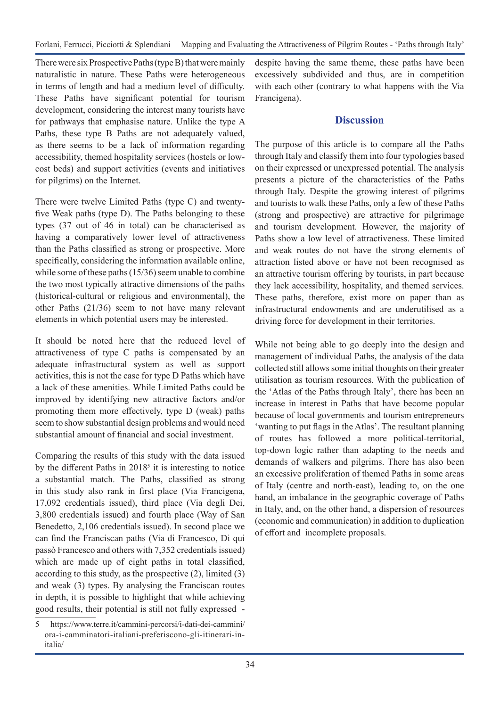Forlani, Ferrucci, Picciotti & Splendiani Mapping and Evaluating the Attractiveness of Pilgrim Routes - 'Paths through Italy'

There were six Prospective Paths (type B) that were mainly naturalistic in nature. These Paths were heterogeneous in terms of length and had a medium level of difficulty. These Paths have significant potential for tourism development, considering the interest many tourists have for pathways that emphasise nature. Unlike the type A Paths, these type B Paths are not adequately valued, as there seems to be a lack of information regarding accessibility, themed hospitality services (hostels or lowcost beds) and support activities (events and initiatives for pilgrims) on the Internet.

There were twelve Limited Paths (type C) and twentyfive Weak paths (type D). The Paths belonging to these types (37 out of 46 in total) can be characterised as having a comparatively lower level of attractiveness than the Paths classified as strong or prospective. More specifically, considering the information available online, while some of these paths (15/36) seem unable to combine the two most typically attractive dimensions of the paths (historical-cultural or religious and environmental), the other Paths (21/36) seem to not have many relevant elements in which potential users may be interested.

It should be noted here that the reduced level of attractiveness of type C paths is compensated by an adequate infrastructural system as well as support activities, this is not the case for type D Paths which have a lack of these amenities. While Limited Paths could be improved by identifying new attractive factors and/or promoting them more effectively, type D (weak) paths seem to show substantial design problems and would need substantial amount of financial and social investment.

Comparing the results of this study with the data issued by the different Paths in 2018<sup>5</sup> it is interesting to notice a substantial match. The Paths, classified as strong in this study also rank in first place (Via Francigena, 17,092 credentials issued), third place (Via degli Dei, 3,800 credentials issued) and fourth place (Way of San Benedetto, 2,106 credentials issued). In second place we can find the Franciscan paths (Via di Francesco, Di qui passò Francesco and others with 7,352 credentials issued) which are made up of eight paths in total classified, according to this study, as the prospective (2), limited (3) and weak (3) types. By analysing the Franciscan routes in depth, it is possible to highlight that while achieving good results, their potential is still not fully expressed -

despite having the same theme, these paths have been excessively subdivided and thus, are in competition with each other (contrary to what happens with the Via Francigena).

## **Discussion**

The purpose of this article is to compare all the Paths through Italy and classify them into four typologies based on their expressed or unexpressed potential. The analysis presents a picture of the characteristics of the Paths through Italy. Despite the growing interest of pilgrims and tourists to walk these Paths, only a few of these Paths (strong and prospective) are attractive for pilgrimage and tourism development. However, the majority of Paths show a low level of attractiveness. These limited and weak routes do not have the strong elements of attraction listed above or have not been recognised as an attractive tourism offering by tourists, in part because they lack accessibility, hospitality, and themed services. These paths, therefore, exist more on paper than as infrastructural endowments and are underutilised as a driving force for development in their territories.

While not being able to go deeply into the design and management of individual Paths, the analysis of the data collected still allows some initial thoughts on their greater utilisation as tourism resources. With the publication of the 'Atlas of the Paths through Italy', there has been an increase in interest in Paths that have become popular because of local governments and tourism entrepreneurs 'wanting to put flags in the Atlas'. The resultant planning of routes has followed a more political-territorial, top-down logic rather than adapting to the needs and demands of walkers and pilgrims. There has also been an excessive proliferation of themed Paths in some areas of Italy (centre and north-east), leading to, on the one hand, an imbalance in the geographic coverage of Paths in Italy, and, on the other hand, a dispersion of resources (economic and communication) in addition to duplication of effort and incomplete proposals.

<sup>5</sup> https://www.terre.it/cammini-percorsi/i-dati-dei-cammini/ ora-i-camminatori-italiani-preferiscono-gli-itinerari-initalia/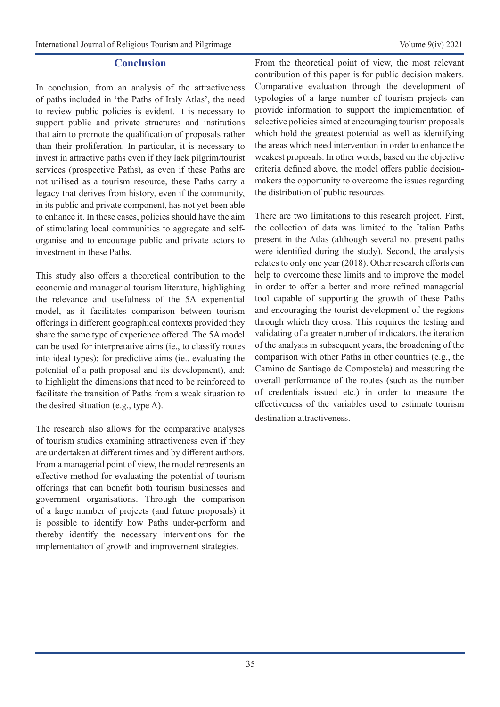### **Conclusion**

In conclusion, from an analysis of the attractiveness of paths included in 'the Paths of Italy Atlas', the need to review public policies is evident. It is necessary to support public and private structures and institutions that aim to promote the qualification of proposals rather than their proliferation. In particular, it is necessary to invest in attractive paths even if they lack pilgrim/tourist services (prospective Paths), as even if these Paths are not utilised as a tourism resource, these Paths carry a legacy that derives from history, even if the community, in its public and private component, has not yet been able to enhance it. In these cases, policies should have the aim of stimulating local communities to aggregate and selforganise and to encourage public and private actors to investment in these Paths.

This study also offers a theoretical contribution to the economic and managerial tourism literature, highlighing the relevance and usefulness of the 5A experiential model, as it facilitates comparison between tourism offerings in different geographical contexts provided they share the same type of experience offered. The 5A model can be used for interpretative aims (ie., to classify routes into ideal types); for predictive aims (ie., evaluating the potential of a path proposal and its development), and; to highlight the dimensions that need to be reinforced to facilitate the transition of Paths from a weak situation to the desired situation (e.g., type A).

The research also allows for the comparative analyses of tourism studies examining attractiveness even if they are undertaken at different times and by different authors. From a managerial point of view, the model represents an effective method for evaluating the potential of tourism offerings that can benefit both tourism businesses and government organisations. Through the comparison of a large number of projects (and future proposals) it is possible to identify how Paths under-perform and thereby identify the necessary interventions for the implementation of growth and improvement strategies.

From the theoretical point of view, the most relevant contribution of this paper is for public decision makers. Comparative evaluation through the development of typologies of a large number of tourism projects can provide information to support the implementation of selective policies aimed at encouraging tourism proposals which hold the greatest potential as well as identifying the areas which need intervention in order to enhance the weakest proposals. In other words, based on the objective criteria defined above, the model offers public decisionmakers the opportunity to overcome the issues regarding the distribution of public resources.

There are two limitations to this research project. First, the collection of data was limited to the Italian Paths present in the Atlas (although several not present paths were identified during the study). Second, the analysis relates to only one year (2018). Other research efforts can help to overcome these limits and to improve the model in order to offer a better and more refined managerial tool capable of supporting the growth of these Paths and encouraging the tourist development of the regions through which they cross. This requires the testing and validating of a greater number of indicators, the iteration of the analysis in subsequent years, the broadening of the comparison with other Paths in other countries (e.g., the Camino de Santiago de Compostela) and measuring the overall performance of the routes (such as the number of credentials issued etc.) in order to measure the effectiveness of the variables used to estimate tourism destination attractiveness.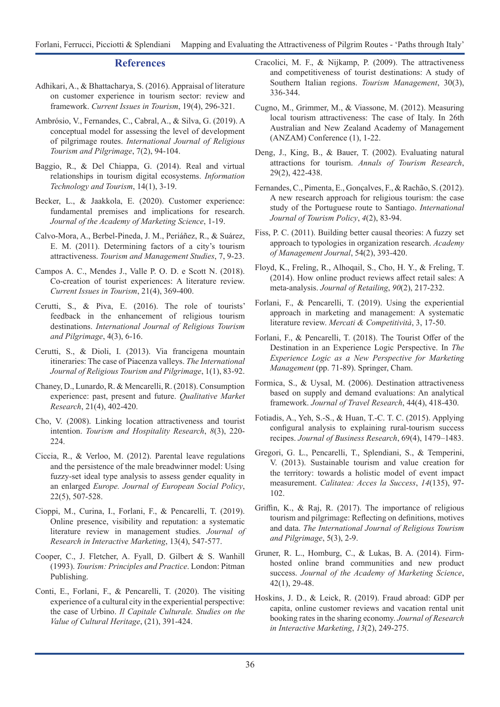#### **References**

- Adhikari, A., & Bhattacharya, S. (2016). Appraisal of literature on customer experience in tourism sector: review and framework. *Current Issues in Tourism*, 19(4), 296-321.
- Ambrósio, V., Fernandes, C., Cabral, A., & Silva, G. (2019). A conceptual model for assessing the level of development of pilgrimage routes. *International Journal of Religious Tourism and Pilgrimage*, 7(2), 94-104.
- Baggio, R., & Del Chiappa, G. (2014). Real and virtual relationships in tourism digital ecosystems. *Information Technology and Tourism*, 14(1), 3-19.
- Becker, L., & Jaakkola, E. (2020). Customer experience: fundamental premises and implications for research. *Journal of the Academy of Marketing Science*, 1-19.
- Calvo-Mora, A., Berbel-Pineda, J. M., Periáñez, R., & Suárez, E. M. (2011). Determining factors of a city's tourism attractiveness. *Tourism and Management Studies*, 7, 9-23.
- Campos A. C., Mendes J., Valle P. O. D. e Scott N. (2018). Co-creation of tourist experiences: A literature review. *Current Issues in Tourism*, 21(4), 369-400.
- Cerutti, S., & Piva, E. (2016). The role of tourists' feedback in the enhancement of religious tourism destinations. *International Journal of Religious Tourism and Pilgrimage*, 4(3), 6-16.
- Cerutti, S., & Dioli, I. (2013). Via francigena mountain itineraries: The case of Piacenza valleys. *The International Journal of Religious Tourism and Pilgrimage*, 1(1), 83-92.
- Chaney, D., Lunardo, R. & Mencarelli, R. (2018). Consumption experience: past, present and future. *Qualitative Market Research*, 21(4), 402-420.
- Cho, V. (2008). Linking location attractiveness and tourist intention. *Tourism and Hospitality Research*, *8*(3), 220- 224.
- Ciccia, R., & Verloo, M. (2012). Parental leave regulations and the persistence of the male breadwinner model: Using fuzzy-set ideal type analysis to assess gender equality in an enlarged *Europe. Journal of European Social Policy*, 22(5), 507-528.
- Cioppi, M., Curina, I., Forlani, F., & Pencarelli, T. (2019). Online presence, visibility and reputation: a systematic literature review in management studies. *Journal of Research in Interactive Marketing*, 13(4), 547-577.
- Cooper, C., J. Fletcher, A. Fyall, D. Gilbert & S. Wanhill (1993). *Tourism: Principles and Practice*. London: Pitman Publishing.
- Conti, E., Forlani, F., & Pencarelli, T. (2020). The visiting experience of a cultural city in the experiential perspective: the case of Urbino. *Il Capitale Culturale. Studies on the Value of Cultural Heritage*, (21), 391-424.
- Cracolici, M. F., & Nijkamp, P. (2009). The attractiveness and competitiveness of tourist destinations: A study of Southern Italian regions. *Tourism Management*, 30(3), 336-344.
- Cugno, M., Grimmer, M., & Viassone, M. (2012). Measuring local tourism attractiveness: The case of Italy. In 26th Australian and New Zealand Academy of Management (ANZAM) Conference (1), 1-22.
- Deng, J., King, B., & Bauer, T. (2002). Evaluating natural attractions for tourism. *Annals of Tourism Research*, 29(2), 422-438.
- Fernandes, C., Pimenta, E., Gonçalves, F., & Rachão, S. (2012). A new research approach for religious tourism: the case study of the Portuguese route to Santiago. *International Journal of Tourism Policy*, *4*(2), 83-94.
- Fiss, P. C. (2011). Building better causal theories: A fuzzy set approach to typologies in organization research. *Academy of Management Journal*, 54(2), 393-420.
- Floyd, K., Freling, R., Alhoqail, S., Cho, H. Y., & Freling, T. (2014). How online product reviews affect retail sales: A meta-analysis. *Journal of Retailing*, *90*(2), 217-232.
- Forlani, F., & Pencarelli, T. (2019). Using the experiential approach in marketing and management: A systematic literature review. *Mercati & Competitività*, 3, 17-50.
- Forlani, F., & Pencarelli, T. (2018). The Tourist Offer of the Destination in an Experience Logic Perspective. In *The Experience Logic as a New Perspective for Marketing Management* (pp. 71-89). Springer, Cham.
- Formica, S., & Uysal, M. (2006). Destination attractiveness based on supply and demand evaluations: An analytical framework. *Journal of Travel Research*, 44(4), 418-430.
- Fotiadis, A., Yeh, S.-S., & Huan, T.-C. T. C. (2015). Applying configural analysis to explaining rural-tourism success recipes. *Journal of Business Research*, 69(4), 1479–1483.
- Gregori, G. L., Pencarelli, T., Splendiani, S., & Temperini, V. (2013). Sustainable tourism and value creation for the territory: towards a holistic model of event impact measurement. *Calitatea: Acces la Success*, *14*(135), 97- 102.
- Griffin, K., & Raj, R. (2017). The importance of religious tourism and pilgrimage: Reflecting on definitions, motives and data. *The International Journal of Religious Tourism and Pilgrimage*, 5(3), 2-9.
- Gruner, R. L., Homburg, C., & Lukas, B. A. (2014). Firmhosted online brand communities and new product success. *Journal of the Academy of Marketing Science*, 42(1), 29-48.
- Hoskins, J. D., & Leick, R. (2019). Fraud abroad: GDP per capita, online customer reviews and vacation rental unit booking rates in the sharing economy. *Journal of Research in Interactive Marketing*, *13*(2), 249-275.